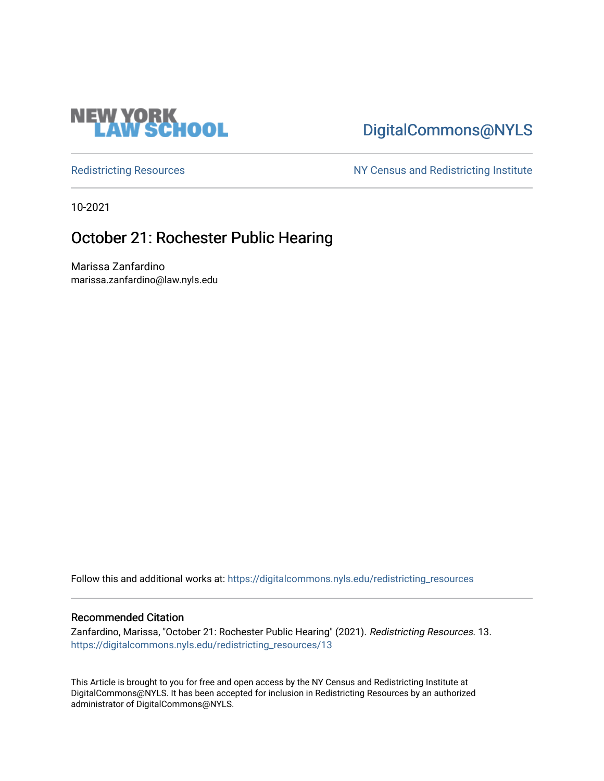

# [DigitalCommons@NYLS](https://digitalcommons.nyls.edu/)

[Redistricting Resources](https://digitalcommons.nyls.edu/redistricting_resources) NY Census and Redistricting Institute

10-2021

### October 21: Rochester Public Hearing

Marissa Zanfardino marissa.zanfardino@law.nyls.edu

Follow this and additional works at: [https://digitalcommons.nyls.edu/redistricting\\_resources](https://digitalcommons.nyls.edu/redistricting_resources?utm_source=digitalcommons.nyls.edu%2Fredistricting_resources%2F13&utm_medium=PDF&utm_campaign=PDFCoverPages)

#### Recommended Citation

Zanfardino, Marissa, "October 21: Rochester Public Hearing" (2021). Redistricting Resources. 13. [https://digitalcommons.nyls.edu/redistricting\\_resources/13](https://digitalcommons.nyls.edu/redistricting_resources/13?utm_source=digitalcommons.nyls.edu%2Fredistricting_resources%2F13&utm_medium=PDF&utm_campaign=PDFCoverPages) 

This Article is brought to you for free and open access by the NY Census and Redistricting Institute at DigitalCommons@NYLS. It has been accepted for inclusion in Redistricting Resources by an authorized administrator of DigitalCommons@NYLS.